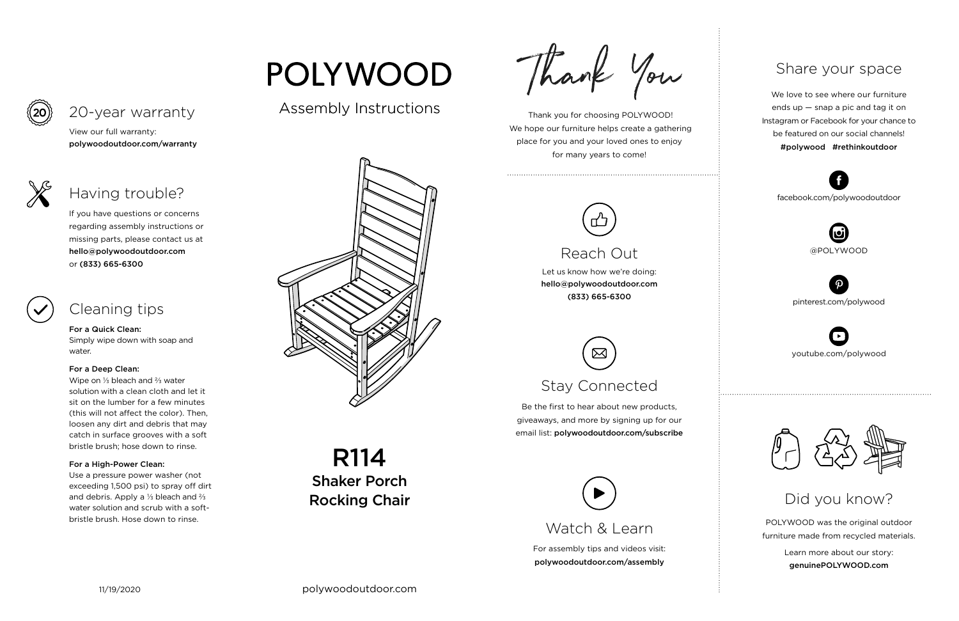For assembly tips and videos visit: polywoodoutdoor.com/assembly

 Thank you for choosing POLYWOOD! We hope our furniture helps create a gathering place for you and your loved ones to enjoy for many years to come!



Let us know how we're doing: hello@polywoodoutdoor.com (833) 665-6300

Be the first to hear about new products, giveaways, and more by signing up for our email list: polywoodoutdoor.com/subscribe

> POLYWOOD was the original outdoor furniture made from recycled materials.

> > Learn more about our story: genuinePOLYWOOD.com

We love to see where our furniture ends up — snap a pic and tag it on Instagram or Facebook for your chance to be featured on our social channels! #polywood #rethinkoutdoor



youtube.com/polywood



pinterest.com/polywood



facebook.com/polywoodoutdoor





Assembly Instructions





# Reach Out

# Stay Connected

## Share your space

Did you know?

View our full warranty: polywoodoutdoor.com/warranty

## For a Quick Clean:

Simply wipe down with soap and water.

## For a Deep Clean:

Wipe on ⅓ bleach and ⅔ water solution with a clean cloth and let it sit on the lumber for a few minutes (this will not affect the color). Then, loosen any dirt and debris that may catch in surface grooves with a soft bristle brush; hose down to rinse.

## For a High-Power Clean:

Use a pressure power washer (not exceeding 1,500 psi) to spray off dirt and debris. Apply a ⅓ bleach and ⅔ water solution and scrub with a softbristle brush. Hose down to rinse.

# **POLYWOOD**

If you have questions or concerns regarding assembly instructions or missing parts, please contact us at hello@polywoodoutdoor.com or (833) 665-6300

## 20-year warranty

# Having trouble?

# Cleaning tips

R114 Shaker Porch Rocking Chair